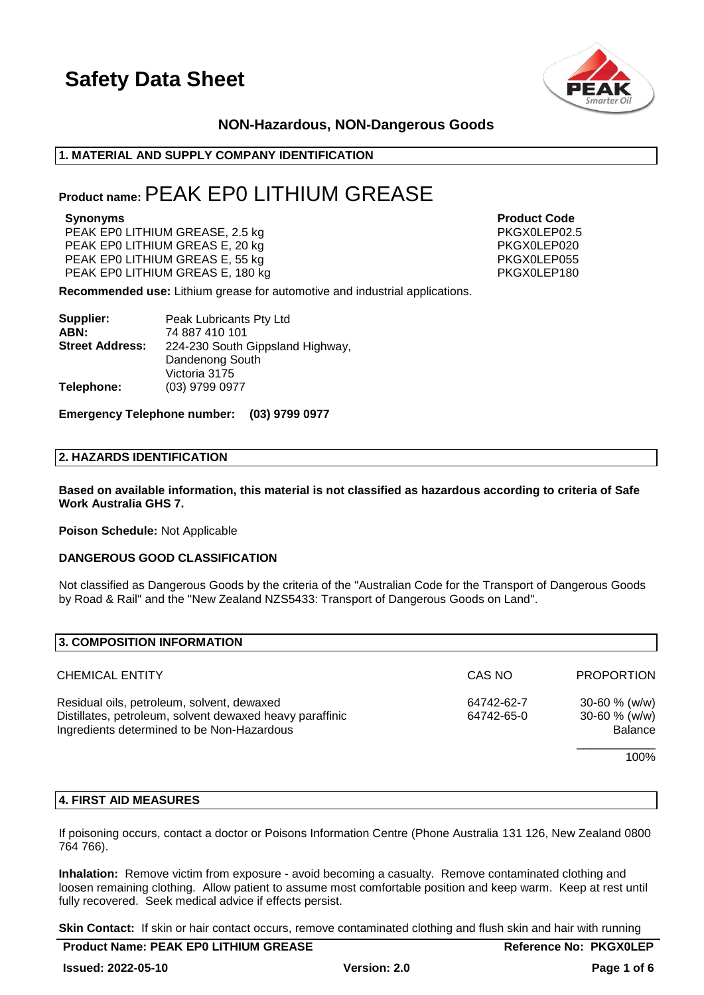

### **NON-Hazardous, NON-Dangerous Goods**

### **1. MATERIAL AND SUPPLY COMPANY IDENTIFICATION**

### **Product name:**PEAK EP0 LITHIUM GREASE

PEAK EPO LITHIUM GREASE, 2.5 kg PEAK EPO LITHIUM GREAS E, 20 kg PEAK EP0 LITHIUM GREAS E, 55 kg PKGX0LEP055 PEAK EPO LITHIUM GREAS E, 180 kg

**Synonyms Product Code**

**Recommended use:** Lithium grease for automotive and industrial applications.

| Supplier:              | Peak Lubricants Pty Ltd          |
|------------------------|----------------------------------|
| ABN:                   | 74 887 410 101                   |
| <b>Street Address:</b> | 224-230 South Gippsland Highway, |
|                        | Dandenong South                  |
|                        | Victoria 3175                    |
| Telephone:             | (03) 9799 0977                   |

**Emergency Telephone number: (03) 9799 0977**

### **2. HAZARDS IDENTIFICATION**

**Based on available information, this material is not classified as hazardous according to criteria of Safe Work Australia GHS 7.**

**Poison Schedule:** Not Applicable

### **DANGEROUS GOOD CLASSIFICATION**

Not classified as Dangerous Goods by the criteria of the "Australian Code for the Transport of Dangerous Goods by Road & Rail" and the "New Zealand NZS5433: Transport of Dangerous Goods on Land".

| 3. COMPOSITION INFORMATION                                                                                                                           |                          |                                                            |
|------------------------------------------------------------------------------------------------------------------------------------------------------|--------------------------|------------------------------------------------------------|
| <b>CHEMICAL ENTITY</b>                                                                                                                               | CAS NO                   | <b>PROPORTION</b>                                          |
| Residual oils, petroleum, solvent, dewaxed<br>Distillates, petroleum, solvent dewaxed heavy paraffinic<br>Ingredients determined to be Non-Hazardous | 64742-62-7<br>64742-65-0 | $30 - 60 \%$ (w/w)<br>$30 - 60 \%$ (w/w)<br><b>Balance</b> |
|                                                                                                                                                      |                          | 100%                                                       |

### **4. FIRST AID MEASURES**

If poisoning occurs, contact a doctor or Poisons Information Centre (Phone Australia 131 126, New Zealand 0800 764 766).

**Inhalation:** Remove victim from exposure - avoid becoming a casualty. Remove contaminated clothing and loosen remaining clothing. Allow patient to assume most comfortable position and keep warm. Keep at rest until fully recovered. Seek medical advice if effects persist.

**Skin Contact:** If skin or hair contact occurs, remove contaminated clothing and flush skin and hair with running

| <b>Product Name: PEAK EP0 LITHIUM GREASE</b> |                     | <b>Reference No: PKGX0LEP</b> |
|----------------------------------------------|---------------------|-------------------------------|
| <b>Issued: 2022-05-10</b>                    | <b>Version: 2.0</b> | Page 1 of 6                   |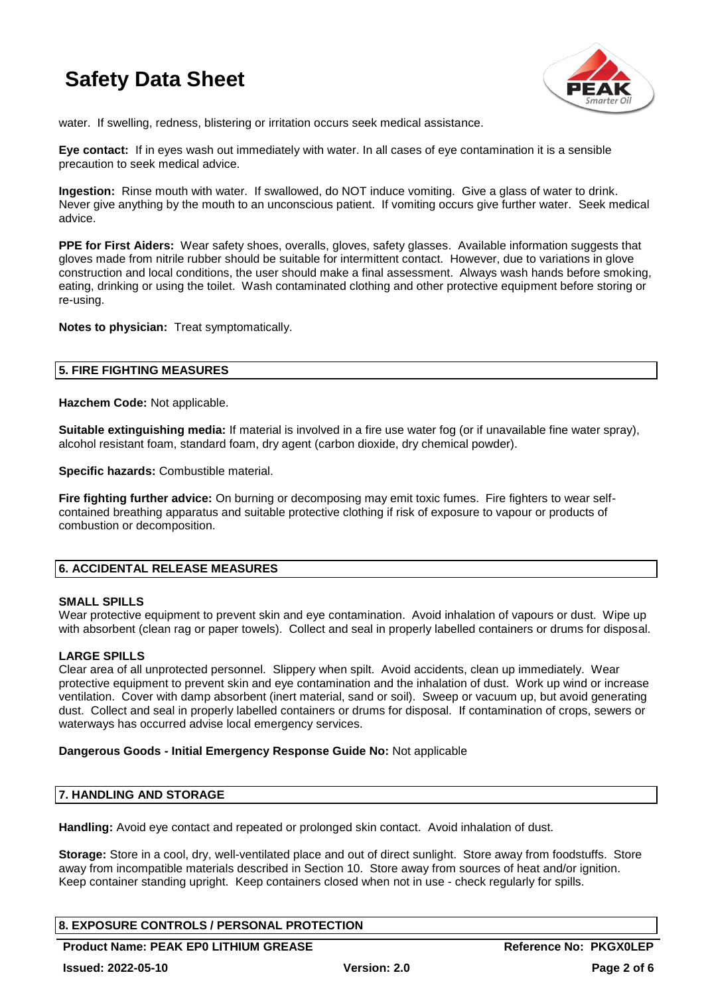

water. If swelling, redness, blistering or irritation occurs seek medical assistance.

**Eye contact:** If in eyes wash out immediately with water. In all cases of eye contamination it is a sensible precaution to seek medical advice.

**Ingestion:** Rinse mouth with water. If swallowed, do NOT induce vomiting. Give a glass of water to drink. Never give anything by the mouth to an unconscious patient. If vomiting occurs give further water. Seek medical advice.

**PPE for First Aiders:** Wear safety shoes, overalls, gloves, safety glasses. Available information suggests that gloves made from nitrile rubber should be suitable for intermittent contact. However, due to variations in glove construction and local conditions, the user should make a final assessment. Always wash hands before smoking, eating, drinking or using the toilet. Wash contaminated clothing and other protective equipment before storing or re-using.

**Notes to physician:** Treat symptomatically.

### **5. FIRE FIGHTING MEASURES**

**Hazchem Code:** Not applicable.

**Suitable extinguishing media:** If material is involved in a fire use water fog (or if unavailable fine water spray), alcohol resistant foam, standard foam, dry agent (carbon dioxide, dry chemical powder).

**Specific hazards:** Combustible material.

**Fire fighting further advice:** On burning or decomposing may emit toxic fumes. Fire fighters to wear selfcontained breathing apparatus and suitable protective clothing if risk of exposure to vapour or products of combustion or decomposition.

### **6. ACCIDENTAL RELEASE MEASURES**

### **SMALL SPILLS**

Wear protective equipment to prevent skin and eye contamination. Avoid inhalation of vapours or dust. Wipe up with absorbent (clean rag or paper towels). Collect and seal in properly labelled containers or drums for disposal.

### **LARGE SPILLS**

Clear area of all unprotected personnel. Slippery when spilt. Avoid accidents, clean up immediately. Wear protective equipment to prevent skin and eye contamination and the inhalation of dust. Work up wind or increase ventilation. Cover with damp absorbent (inert material, sand or soil). Sweep or vacuum up, but avoid generating dust. Collect and seal in properly labelled containers or drums for disposal. If contamination of crops, sewers or waterways has occurred advise local emergency services.

### **Dangerous Goods - Initial Emergency Response Guide No:** Not applicable

### **7. HANDLING AND STORAGE**

**Handling:** Avoid eye contact and repeated or prolonged skin contact. Avoid inhalation of dust.

**Storage:** Store in a cool, dry, well-ventilated place and out of direct sunlight. Store away from foodstuffs. Store away from incompatible materials described in Section 10. Store away from sources of heat and/or ignition. Keep container standing upright. Keep containers closed when not in use - check regularly for spills.

### **8. EXPOSURE CONTROLS / PERSONAL PROTECTION**

Product Name: PEAK EP0 LITHIUM GREASE Reference No: PKGX0LEP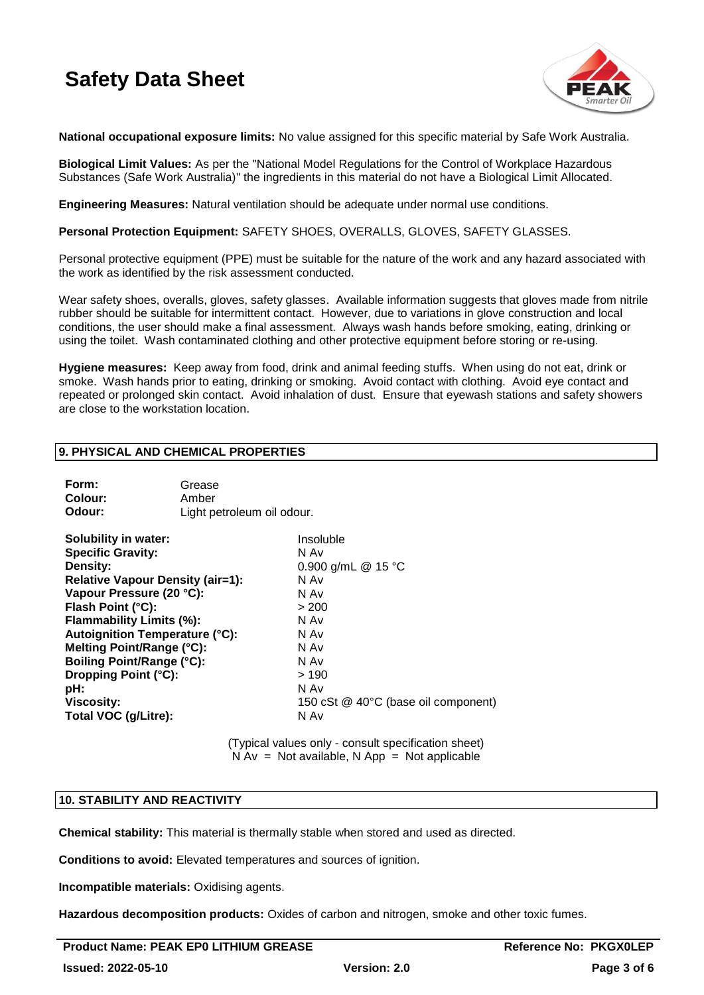

**National occupational exposure limits:** No value assigned for this specific material by Safe Work Australia.

**Biological Limit Values:** As per the "National Model Regulations for the Control of Workplace Hazardous Substances (Safe Work Australia)" the ingredients in this material do not have a Biological Limit Allocated.

**Engineering Measures:** Natural ventilation should be adequate under normal use conditions.

**Personal Protection Equipment:** SAFETY SHOES, OVERALLS, GLOVES, SAFETY GLASSES.

Personal protective equipment (PPE) must be suitable for the nature of the work and any hazard associated with the work as identified by the risk assessment conducted.

Wear safety shoes, overalls, gloves, safety glasses. Available information suggests that gloves made from nitrile rubber should be suitable for intermittent contact. However, due to variations in glove construction and local conditions, the user should make a final assessment. Always wash hands before smoking, eating, drinking or using the toilet. Wash contaminated clothing and other protective equipment before storing or re-using.

**Hygiene measures:** Keep away from food, drink and animal feeding stuffs. When using do not eat, drink or smoke. Wash hands prior to eating, drinking or smoking. Avoid contact with clothing. Avoid eye contact and repeated or prolonged skin contact. Avoid inhalation of dust. Ensure that eyewash stations and safety showers are close to the workstation location.

### **9. PHYSICAL AND CHEMICAL PROPERTIES**

| Form:<br>Colour:<br>Odour:                                                                                                                                                                                                                                                                                                                                                 | Grease<br>Amber<br>Light petroleum oil odour. |                                                                                                                                                                 |
|----------------------------------------------------------------------------------------------------------------------------------------------------------------------------------------------------------------------------------------------------------------------------------------------------------------------------------------------------------------------------|-----------------------------------------------|-----------------------------------------------------------------------------------------------------------------------------------------------------------------|
| <b>Solubility in water:</b><br><b>Specific Gravity:</b><br>Density:<br>Relative Vapour Density (air=1):<br>Vapour Pressure (20 °C):<br>Flash Point (°C):<br>Flammability Limits (%):<br><b>Autoignition Temperature (°C):</b><br>Melting Point/Range (°C):<br><b>Boiling Point/Range (°C):</b><br>Dropping Point (°C):<br>pH:<br><b>Viscosity:</b><br>Total VOC (g/Litre): |                                               | Insoluble<br>N Av<br>0.900 g/mL @ 15 °C<br>N Av<br>N Av<br>> 200<br>N Av<br>N Av<br>N Av<br>N Av<br>>190<br>N Av<br>150 cSt @ 40°C (base oil component)<br>N Av |
|                                                                                                                                                                                                                                                                                                                                                                            |                                               |                                                                                                                                                                 |

(Typical values only - consult specification sheet)  $N Av = Not available, N App = Not applicable$ 

### **10. STABILITY AND REACTIVITY**

**Chemical stability:** This material is thermally stable when stored and used as directed.

**Conditions to avoid:** Elevated temperatures and sources of ignition.

**Incompatible materials:** Oxidising agents.

**Hazardous decomposition products:** Oxides of carbon and nitrogen, smoke and other toxic fumes.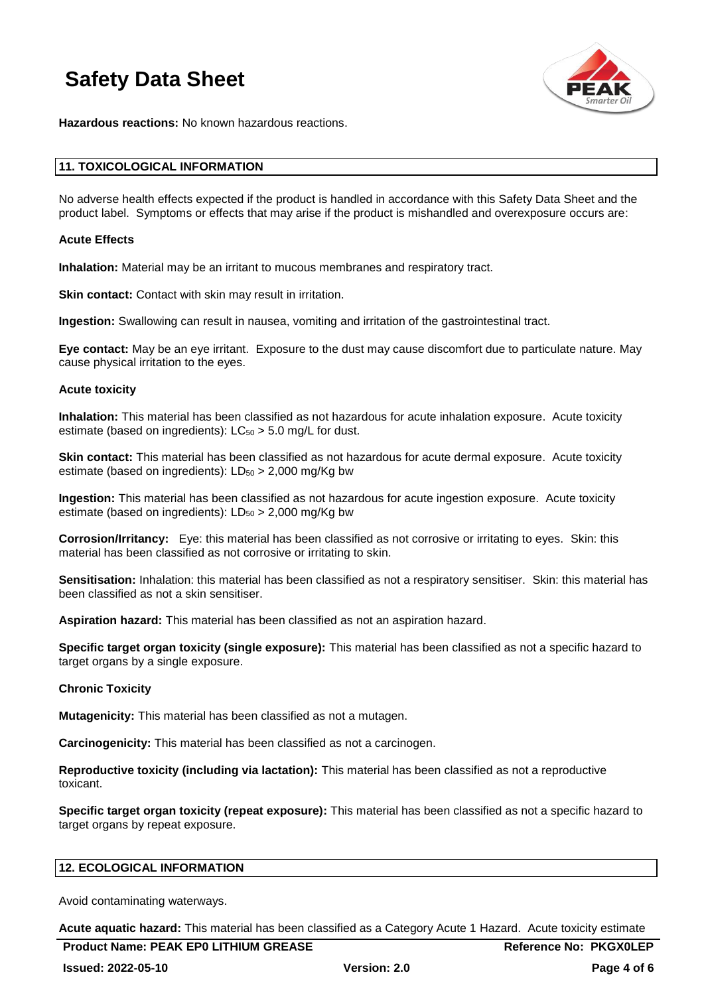

**Hazardous reactions:** No known hazardous reactions.

### **11. TOXICOLOGICAL INFORMATION**

No adverse health effects expected if the product is handled in accordance with this Safety Data Sheet and the product label. Symptoms or effects that may arise if the product is mishandled and overexposure occurs are:

### **Acute Effects**

**Inhalation:** Material may be an irritant to mucous membranes and respiratory tract.

**Skin contact:** Contact with skin may result in irritation.

**Ingestion:** Swallowing can result in nausea, vomiting and irritation of the gastrointestinal tract.

**Eye contact:** May be an eye irritant. Exposure to the dust may cause discomfort due to particulate nature. May cause physical irritation to the eyes.

#### **Acute toxicity**

**Inhalation:** This material has been classified as not hazardous for acute inhalation exposure. Acute toxicity estimate (based on ingredients):  $LC_{50} > 5.0$  mg/L for dust.

**Skin contact:** This material has been classified as not hazardous for acute dermal exposure. Acute toxicity estimate (based on ingredients):  $LD_{50} > 2,000$  mg/Kg bw

**Ingestion:** This material has been classified as not hazardous for acute ingestion exposure. Acute toxicity estimate (based on ingredients):  $LD_{50} > 2,000$  mg/Kg bw

**Corrosion/Irritancy:** Eye: this material has been classified as not corrosive or irritating to eyes. Skin: this material has been classified as not corrosive or irritating to skin.

**Sensitisation:** Inhalation: this material has been classified as not a respiratory sensitiser. Skin: this material has been classified as not a skin sensitiser.

**Aspiration hazard:** This material has been classified as not an aspiration hazard.

**Specific target organ toxicity (single exposure):** This material has been classified as not a specific hazard to target organs by a single exposure.

### **Chronic Toxicity**

**Mutagenicity:** This material has been classified as not a mutagen.

**Carcinogenicity:** This material has been classified as not a carcinogen.

**Reproductive toxicity (including via lactation):** This material has been classified as not a reproductive toxicant.

**Specific target organ toxicity (repeat exposure):** This material has been classified as not a specific hazard to target organs by repeat exposure.

### **12. ECOLOGICAL INFORMATION**

Avoid contaminating waterways.

**Acute aquatic hazard:** This material has been classified as a Category Acute 1 Hazard. Acute toxicity estimate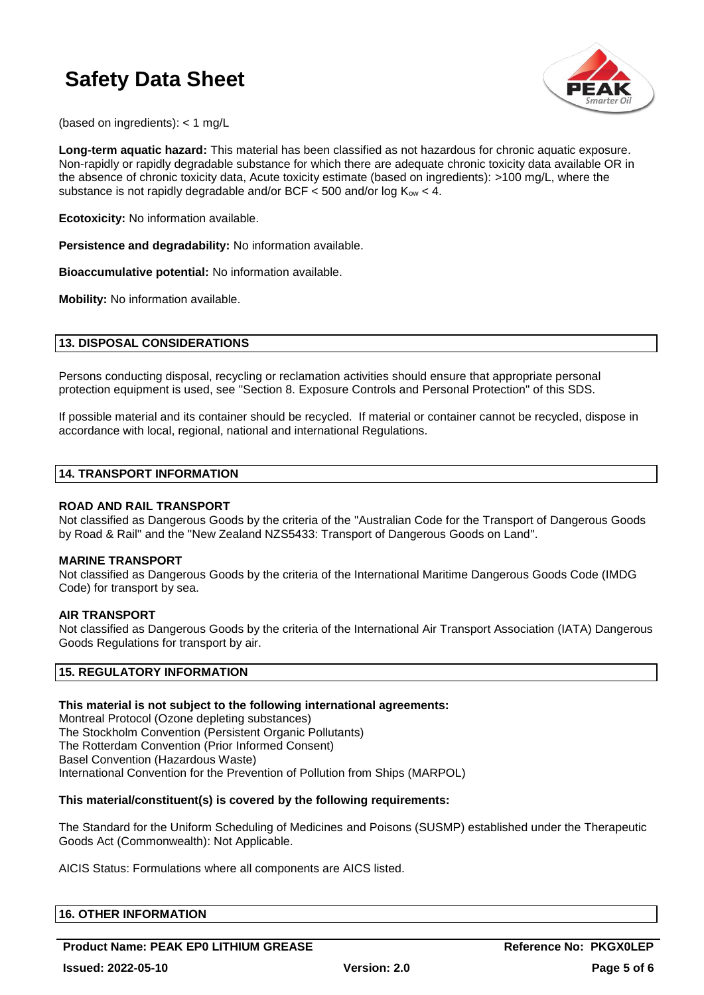

(based on ingredients): < 1 mg/L

**Long-term aquatic hazard:** This material has been classified as not hazardous for chronic aquatic exposure. Non-rapidly or rapidly degradable substance for which there are adequate chronic toxicity data available OR in the absence of chronic toxicity data, Acute toxicity estimate (based on ingredients): >100 mg/L, where the substance is not rapidly degradable and/or BCF  $<$  500 and/or log Kow  $<$  4.

**Ecotoxicity:** No information available.

**Persistence and degradability:** No information available.

**Bioaccumulative potential:** No information available.

**Mobility:** No information available.

### **13. DISPOSAL CONSIDERATIONS**

Persons conducting disposal, recycling or reclamation activities should ensure that appropriate personal protection equipment is used, see "Section 8. Exposure Controls and Personal Protection" of this SDS.

If possible material and its container should be recycled. If material or container cannot be recycled, dispose in accordance with local, regional, national and international Regulations.

### **14. TRANSPORT INFORMATION**

### **ROAD AND RAIL TRANSPORT**

Not classified as Dangerous Goods by the criteria of the "Australian Code for the Transport of Dangerous Goods by Road & Rail" and the "New Zealand NZS5433: Transport of Dangerous Goods on Land".

### **MARINE TRANSPORT**

Not classified as Dangerous Goods by the criteria of the International Maritime Dangerous Goods Code (IMDG Code) for transport by sea.

### **AIR TRANSPORT**

Not classified as Dangerous Goods by the criteria of the International Air Transport Association (IATA) Dangerous Goods Regulations for transport by air.

### **15. REGULATORY INFORMATION**

### **This material is not subject to the following international agreements:**

Montreal Protocol (Ozone depleting substances) The Stockholm Convention (Persistent Organic Pollutants) The Rotterdam Convention (Prior Informed Consent) Basel Convention (Hazardous Waste) International Convention for the Prevention of Pollution from Ships (MARPOL)

### **This material/constituent(s) is covered by the following requirements:**

The Standard for the Uniform Scheduling of Medicines and Poisons (SUSMP) established under the Therapeutic Goods Act (Commonwealth): Not Applicable.

AICIS Status: Formulations where all components are AICS listed.

### **16. OTHER INFORMATION**

**Product Name: PEAK EP0 LITHIUM GREASE And Accord Accord Reference No: PKGX0LEP**